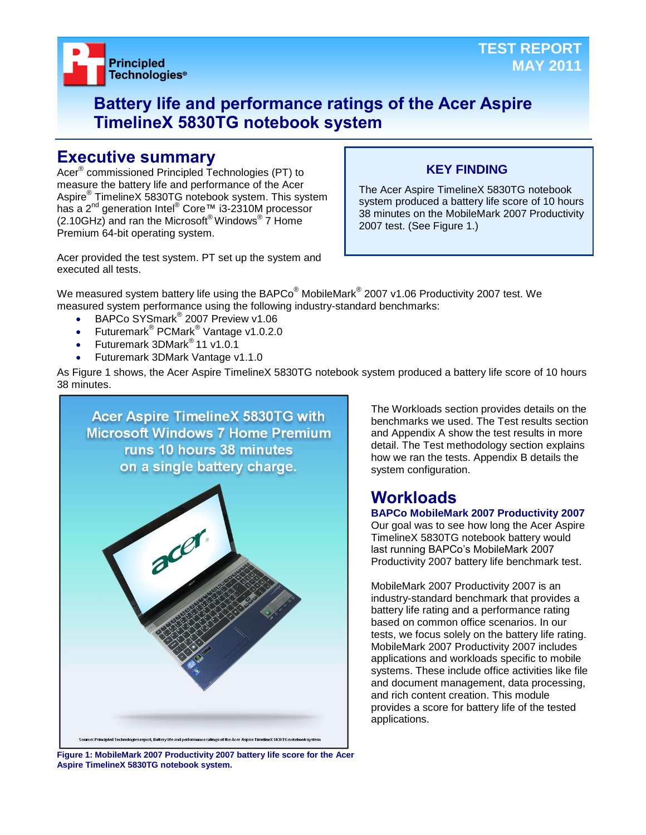

## **Battery life and performance ratings of the Acer Aspire TimelineX 5830TG notebook system**

## **Executive summary**

Acer® commissioned Principled Technologies (PT) to measure the battery life and performance of the Acer Aspire® TimelineX 5830TG notebook system. This system has a 2<sup>nd</sup> generation Intel<sup>®</sup> Core™ i3-2310M processor  $(2.10$ GHz) and ran the Microsoft® Windows®  $\overline{7}$  Home Premium 64-bit operating system.

## **KEY FINDING**

The Acer Aspire TimelineX 5830TG notebook system produced a battery life score of 10 hours 38 minutes on the MobileMark 2007 Productivity 2007 test. (See Figure 1.)

Acer provided the test system. PT set up the system and executed all tests.

We measured system battery life using the BAPCo $^\circ$  MobileMark $^\circ$  2007 v1.06 Productivity 2007 test. We measured system performance using the following industry-standard benchmarks:

- BAPCo SYSmark<sup>®</sup> 2007 Preview v1.06
- Futuremark<sup>®</sup> PCMark<sup>®</sup> Vantage v1.0.2.0
- Futuremark 3DMark® 11 v1.0.1
- Futuremark 3DMark Vantage v1.1.0

As Figure 1 shows, the Acer Aspire TimelineX 5830TG notebook system produced a battery life score of 10 hours 38 minutes.



The Workloads section provides details on the benchmarks we used. The Test results section and Appendix A show the test results in more detail. The Test methodology section explains how we ran the tests. Appendix B details the system configuration.

## **Workloads**

### **BAPCo MobileMark 2007 Productivity 2007**

Our goal was to see how long the Acer Aspire TimelineX 5830TG notebook battery would last running BAPCo's MobileMark 2007 Productivity 2007 battery life benchmark test.

MobileMark 2007 Productivity 2007 is an industry-standard benchmark that provides a battery life rating and a performance rating based on common office scenarios. In our tests, we focus solely on the battery life rating. MobileMark 2007 Productivity 2007 includes applications and workloads specific to mobile systems. These include office activities like file and document management, data processing, and rich content creation. This module provides a score for battery life of the tested applications.

**Figure 1: MobileMark 2007 Productivity 2007 battery life score for the Acer Aspire TimelineX 5830TG notebook system.**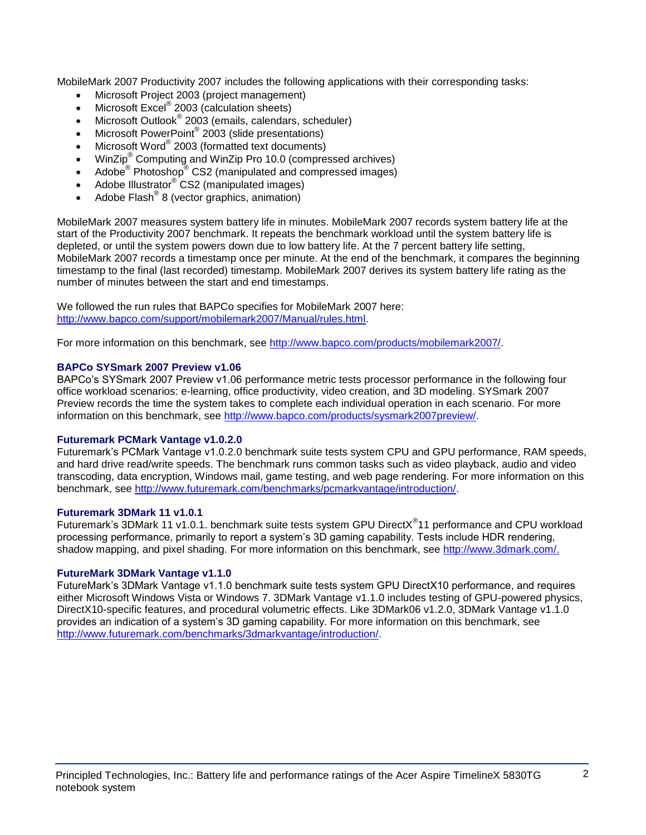MobileMark 2007 Productivity 2007 includes the following applications with their corresponding tasks:

- Microsoft Project 2003 (project management)
- Microsoft Excel<sup>®</sup> 2003 (calculation sheets)
- Microsoft Outlook<sup>®</sup> 2003 (emails, calendars, scheduler)
- Microsoft PowerPoint® 2003 (slide presentations)
- Microsoft Word® 2003 (formatted text documents)
- WinZip® Computing and WinZip Pro 10.0 (compressed archives)
- Adobe  $^{\circ}$  Photoshop $^{\circ}$  CS2 (manipulated and compressed images)
- Adobe Illustrator® CS2 (manipulated images)
- $\bullet$  Adobe Flash<sup>®</sup> 8 (vector graphics, animation)

MobileMark 2007 measures system battery life in minutes. MobileMark 2007 records system battery life at the start of the Productivity 2007 benchmark. It repeats the benchmark workload until the system battery life is depleted, or until the system powers down due to low battery life. At the 7 percent battery life setting, MobileMark 2007 records a timestamp once per minute. At the end of the benchmark, it compares the beginning timestamp to the final (last recorded) timestamp. MobileMark 2007 derives its system battery life rating as the number of minutes between the start and end timestamps.

We followed the run rules that BAPCo specifies for MobileMark 2007 here: [http://www.bapco.com/support/mobilemark2007/Manual/rules.html.](http://www.bapco.com/support/mobilemark2007/Manual/rules.html)

For more information on this benchmark, see [http://www.bapco.com/products/mobilemark2007/.](http://www.bapco.com/products/mobilemark2007/)

### **BAPCo SYSmark 2007 Preview v1.06**

BAPCo's SYSmark 2007 Preview v1.06 performance metric tests processor performance in the following four office workload scenarios: e-learning, office productivity, video creation, and 3D modeling. SYSmark 2007 Preview records the time the system takes to complete each individual operation in each scenario. For more information on this benchmark, see [http://www.bapco.com/products/sysmark2007preview/.](http://www.bapco.com/products/sysmark2007preview/)

### **Futuremark PCMark Vantage v1.0.2.0**

Futuremark's PCMark Vantage v1.0.2.0 benchmark suite tests system CPU and GPU performance, RAM speeds, and hard drive read/write speeds. The benchmark runs common tasks such as video playback, audio and video transcoding, data encryption, Windows mail, game testing, and web page rendering. For more information on this benchmark, see [http://www.futuremark.com/benchmarks/pcmarkvantage/introduction/.](http://www.futuremark.com/benchmarks/pcmarkvantage/introduction/)

#### **Futuremark 3DMark 11 v1.0.1**

Futuremark's 3DMark 11 v1.0.1. benchmark suite tests system GPU DirectX<sup>®</sup>11 performance and CPU workload processing performance, primarily to report a system's 3D gaming capability. Tests include HDR rendering, shadow mapping, and pixel shading. For more information on this benchmark, see [http://www.3dmark.com/.](http://www.3dmark.com/)

### **FutureMark 3DMark Vantage v1.1.0**

FutureMark's 3DMark Vantage v1.1.0 benchmark suite tests system GPU DirectX10 performance, and requires either Microsoft Windows Vista or Windows 7. 3DMark Vantage v1.1.0 includes testing of GPU-powered physics, DirectX10-specific features, and procedural volumetric effects. Like 3DMark06 v1.2.0, 3DMark Vantage v1.1.0 provides an indication of a system's 3D gaming capability. For more information on this benchmark, see [http://www.futuremark.com/benchmarks/3dmarkvantage/introduction/.](http://www.futuremark.com/benchmarks/3dmarkvantage/introduction/)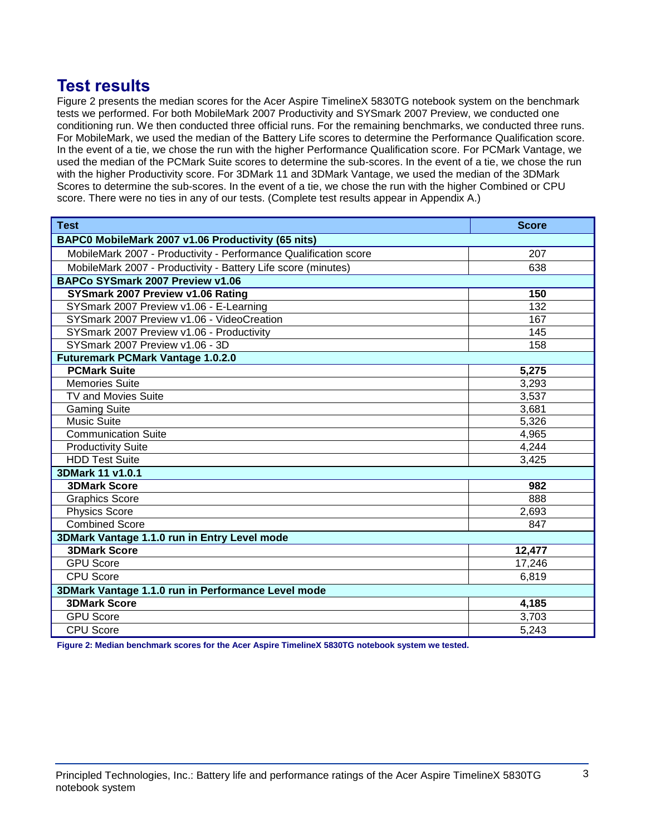## **Test results**

Figure 2 presents the median scores for the Acer Aspire TimelineX 5830TG notebook system on the benchmark tests we performed. For both MobileMark 2007 Productivity and SYSmark 2007 Preview, we conducted one conditioning run. We then conducted three official runs. For the remaining benchmarks, we conducted three runs. For MobileMark, we used the median of the Battery Life scores to determine the Performance Qualification score. In the event of a tie, we chose the run with the higher Performance Qualification score. For PCMark Vantage, we used the median of the PCMark Suite scores to determine the sub-scores. In the event of a tie, we chose the run with the higher Productivity score. For 3DMark 11 and 3DMark Vantage, we used the median of the 3DMark Scores to determine the sub-scores. In the event of a tie, we chose the run with the higher Combined or CPU score. There were no ties in any of our tests. (Complete test results appear in Appendix A.)

| <b>Test</b>                                                      | <b>Score</b>     |  |
|------------------------------------------------------------------|------------------|--|
| BAPC0 MobileMark 2007 v1.06 Productivity (65 nits)               |                  |  |
| MobileMark 2007 - Productivity - Performance Qualification score | 207              |  |
| MobileMark 2007 - Productivity - Battery Life score (minutes)    | 638              |  |
| BAPCo SYSmark 2007 Preview v1.06                                 |                  |  |
| SYSmark 2007 Preview v1.06 Rating                                | 150              |  |
| SYSmark 2007 Preview v1.06 - E-Learning                          | $\overline{132}$ |  |
| SYSmark 2007 Preview v1.06 - VideoCreation                       | 167              |  |
| SYSmark 2007 Preview v1.06 - Productivity                        | 145              |  |
| SYSmark 2007 Preview v1.06 - 3D                                  | 158              |  |
| <b>Futuremark PCMark Vantage 1.0.2.0</b>                         |                  |  |
| <b>PCMark Suite</b>                                              | 5,275            |  |
| <b>Memories Suite</b>                                            | 3,293            |  |
| <b>TV and Movies Suite</b>                                       | 3,537            |  |
| <b>Gaming Suite</b>                                              | 3,681            |  |
| <b>Music Suite</b>                                               | 5,326            |  |
| <b>Communication Suite</b>                                       | 4,965            |  |
| <b>Productivity Suite</b>                                        | 4,244            |  |
| <b>HDD Test Suite</b>                                            | 3,425            |  |
| 3DMark 11 v1.0.1                                                 |                  |  |
| <b>3DMark Score</b>                                              | 982              |  |
| <b>Graphics Score</b>                                            | 888              |  |
| <b>Physics Score</b>                                             | 2,693            |  |
| <b>Combined Score</b>                                            | 847              |  |
| 3DMark Vantage 1.1.0 run in Entry Level mode                     |                  |  |
| <b>3DMark Score</b>                                              | 12,477           |  |
| <b>GPU Score</b>                                                 | 17,246           |  |
| <b>CPU Score</b>                                                 | 6,819            |  |
| 3DMark Vantage 1.1.0 run in Performance Level mode               |                  |  |
| <b>3DMark Score</b>                                              | 4,185            |  |
| <b>GPU Score</b>                                                 | 3,703            |  |
| <b>CPU Score</b>                                                 | 5,243            |  |

**Figure 2: Median benchmark scores for the Acer Aspire TimelineX 5830TG notebook system we tested.**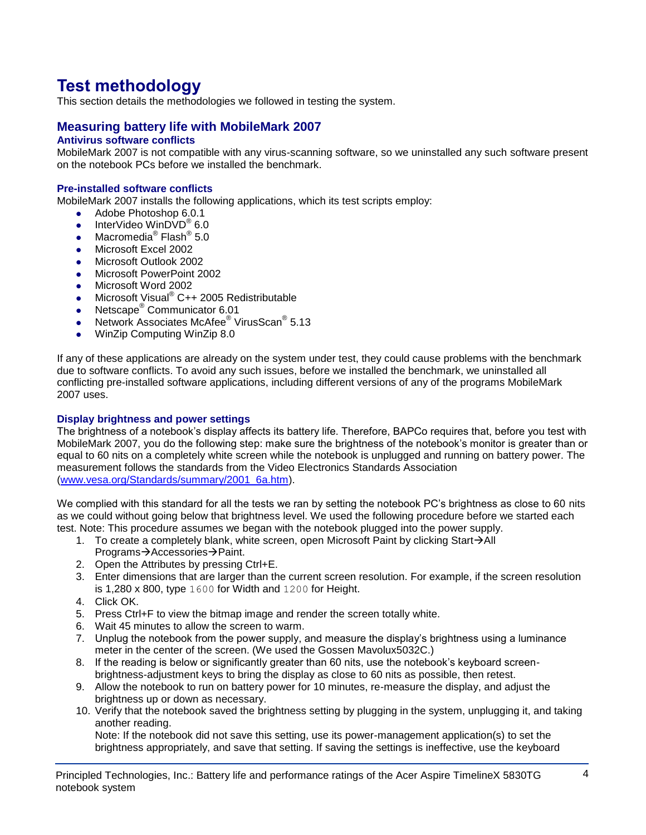# **Test methodology**

This section details the methodologies we followed in testing the system.

## **Measuring battery life with MobileMark 2007**

## **Antivirus software conflicts**

MobileMark 2007 is not compatible with any virus-scanning software, so we uninstalled any such software present on the notebook PCs before we installed the benchmark.

### **Pre-installed software conflicts**

MobileMark 2007 installs the following applications, which its test scripts employ:

- Adobe Photoshop 6.0.1
- InterVideo WinDVD $^{\circ}$  6.0
- Macromedia® Flash® 5.0
- Microsoft Excel 2002
- Microsoft Outlook 2002
- **Microsoft PowerPoint 2002**
- Microsoft Word 2002
- Microsoft Visual<sup>®</sup> C++ 2005 Redistributable
- Netscape<sup>®</sup> Communicator 6.01
- Network Associates McAfee<sup>®</sup> VirusScan<sup>®</sup> 5.13
- WinZip Computing WinZip 8.0

If any of these applications are already on the system under test, they could cause problems with the benchmark due to software conflicts. To avoid any such issues, before we installed the benchmark, we uninstalled all conflicting pre-installed software applications, including different versions of any of the programs MobileMark 2007 uses.

#### **Display brightness and power settings**

The brightness of a notebook's display affects its battery life. Therefore, BAPCo requires that, before you test with MobileMark 2007, you do the following step: make sure the brightness of the notebook's monitor is greater than or equal to 60 nits on a completely white screen while the notebook is unplugged and running on battery power. The measurement follows the standards from the Video Electronics Standards Association [\(www.vesa.org/Standards/summary/2001\\_6a.htm\)](http://www.vesa.org/Standards/summary/2001_6a.htm).

We complied with this standard for all the tests we ran by setting the notebook PC's brightness as close to 60 nits as we could without going below that brightness level. We used the following procedure before we started each test. Note: This procedure assumes we began with the notebook plugged into the power supply.

- 1. To create a completely blank, white screen, open Microsoft Paint by clicking Start $\rightarrow$ All Programs→Accessories→Paint.
- 2. Open the Attributes by pressing Ctrl+E.
- 3. Enter dimensions that are larger than the current screen resolution. For example, if the screen resolution is 1,280 x 800, type 1600 for Width and 1200 for Height.
- 4. Click OK.
- 5. Press Ctrl+F to view the bitmap image and render the screen totally white.
- 6. Wait 45 minutes to allow the screen to warm.
- 7. Unplug the notebook from the power supply, and measure the display's brightness using a luminance meter in the center of the screen. (We used the Gossen Mavolux5032C.)
- 8. If the reading is below or significantly greater than 60 nits, use the notebook's keyboard screenbrightness-adjustment keys to bring the display as close to 60 nits as possible, then retest.
- 9. Allow the notebook to run on battery power for 10 minutes, re-measure the display, and adjust the brightness up or down as necessary.
- 10. Verify that the notebook saved the brightness setting by plugging in the system, unplugging it, and taking another reading.

Note: If the notebook did not save this setting, use its power-management application(s) to set the brightness appropriately, and save that setting. If saving the settings is ineffective, use the keyboard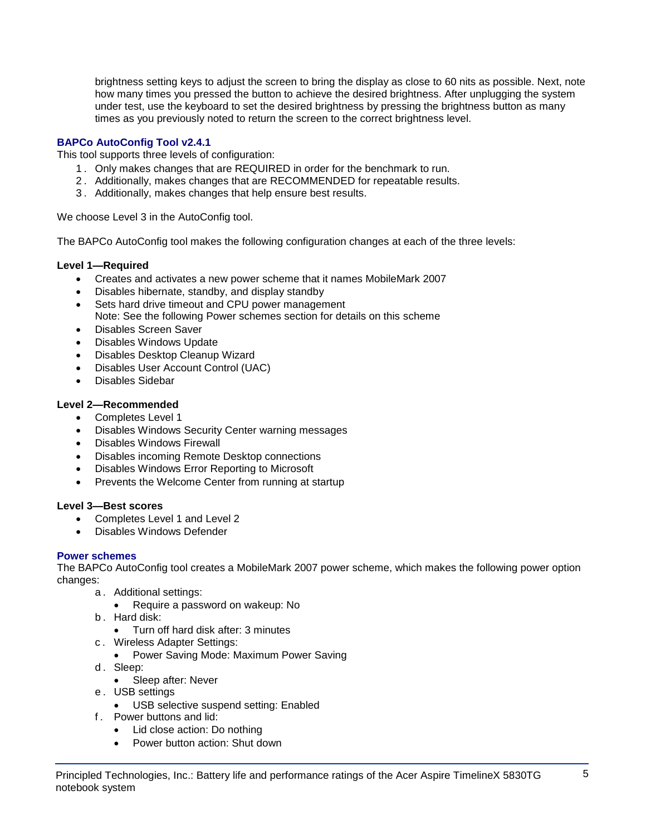brightness setting keys to adjust the screen to bring the display as close to 60 nits as possible. Next, note how many times you pressed the button to achieve the desired brightness. After unplugging the system under test, use the keyboard to set the desired brightness by pressing the brightness button as many times as you previously noted to return the screen to the correct brightness level.

## **BAPCo AutoConfig Tool v2.4.1**

This tool supports three levels of configuration:

- 1 . Only makes changes that are REQUIRED in order for the benchmark to run.
- 2 . Additionally, makes changes that are RECOMMENDED for repeatable results.
- 3 . Additionally, makes changes that help ensure best results.

We choose Level 3 in the AutoConfig tool.

The BAPCo AutoConfig tool makes the following configuration changes at each of the three levels:

### **Level 1—Required**

- Creates and activates a new power scheme that it names MobileMark 2007
- Disables hibernate, standby, and display standby
- Sets hard drive timeout and CPU power management
- Note: See the following Power schemes section for details on this scheme
- Disables Screen Saver
- Disables Windows Update
- Disables Desktop Cleanup Wizard
- Disables User Account Control (UAC)
- Disables Sidebar

### **Level 2—Recommended**

- Completes Level 1
- Disables Windows Security Center warning messages
- Disables Windows Firewall
- Disables incoming Remote Desktop connections
- Disables Windows Error Reporting to Microsoft
- Prevents the Welcome Center from running at startup

### **Level 3—Best scores**

- Completes Level 1 and Level 2
- Disables Windows Defender

### **Power schemes**

The BAPCo AutoConfig tool creates a MobileMark 2007 power scheme, which makes the following power option changes:

- a . Additional settings:
	- Require a password on wakeup: No
- b . Hard disk:
	- Turn off hard disk after: 3 minutes
- c . Wireless Adapter Settings:
	- Power Saving Mode: Maximum Power Saving
- d. Sleep:
	- Sleep after: Never
- e . USB settings
	- USB selective suspend setting: Enabled
- f . Power buttons and lid:
	- Lid close action: Do nothing
	- Power button action: Shut down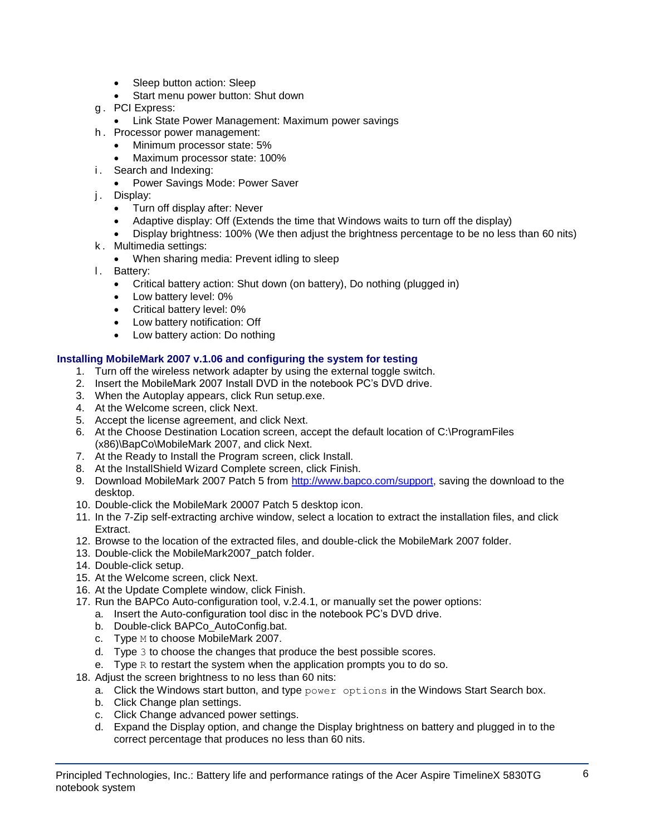- Sleep button action: Sleep
- Start menu power button: Shut down
- g . PCI Express:
	- **Link State Power Management: Maximum power savings**
- h . Processor power management:
	- Minimum processor state: 5%
	- Maximum processor state: 100%
- i. Search and Indexing:
	- Power Savings Mode: Power Saver
- j. Display:
	- Turn off display after: Never
	- Adaptive display: Off (Extends the time that Windows waits to turn off the display)
	- Display brightness: 100% (We then adjust the brightness percentage to be no less than 60 nits)
- k . Multimedia settings:
	- When sharing media: Prevent idling to sleep
- l. Battery:
	- Critical battery action: Shut down (on battery), Do nothing (plugged in)
	- Low battery level: 0%
	- Critical battery level: 0%
	- Low battery notification: Off
	- Low battery action: Do nothing

### **Installing MobileMark 2007 v.1.06 and configuring the system for testing**

- 1. Turn off the wireless network adapter by using the external toggle switch.
- 2. Insert the MobileMark 2007 Install DVD in the notebook PC's DVD drive.
- 3. When the Autoplay appears, click Run setup.exe.
- 4. At the Welcome screen, click Next.
- 5. Accept the license agreement, and click Next.
- 6. At the Choose Destination Location screen, accept the default location of C:\ProgramFiles (x86)\BapCo\MobileMark 2007, and click Next.
- 7. At the Ready to Install the Program screen, click Install.
- 8. At the InstallShield Wizard Complete screen, click Finish.
- 9. Download MobileMark 2007 Patch 5 from [http://www.bapco.com/support,](http://www.bapco.com/support) saving the download to the desktop.
- 10. Double-click the MobileMark 20007 Patch 5 desktop icon.
- 11. In the 7-Zip self-extracting archive window, select a location to extract the installation files, and click Extract.
- 12. Browse to the location of the extracted files, and double-click the MobileMark 2007 folder.
- 13. Double-click the MobileMark2007\_patch folder.
- 14. Double-click setup.
- 15. At the Welcome screen, click Next.
- 16. At the Update Complete window, click Finish.
- 17. Run the BAPCo Auto-configuration tool, v.2.4.1, or manually set the power options:
	- a. Insert the Auto-configuration tool disc in the notebook PC's DVD drive.
	- b. Double-click BAPCo\_AutoConfig.bat.
	- c. Type M to choose MobileMark 2007.
	- d. Type 3 to choose the changes that produce the best possible scores.
	- e. Type  $R$  to restart the system when the application prompts you to do so.
- 18. Adjust the screen brightness to no less than 60 nits:
	- a. Click the Windows start button, and type  $power$  options in the Windows Start Search box.
	- b. Click Change plan settings.
	- c. Click Change advanced power settings.
	- d. Expand the Display option, and change the Display brightness on battery and plugged in to the correct percentage that produces no less than 60 nits.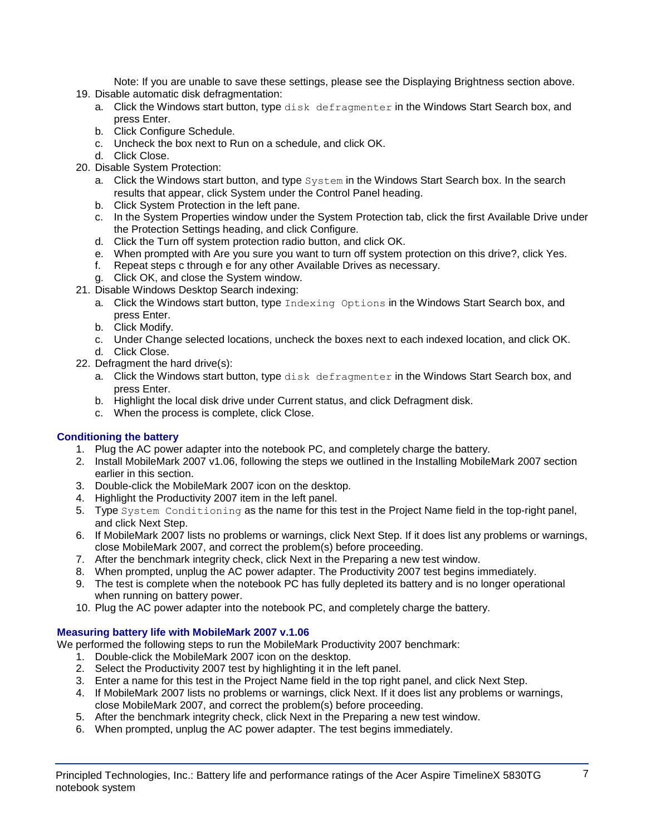Note: If you are unable to save these settings, please see the Displaying Brightness section above.

- 19. Disable automatic disk defragmentation:
	- a. Click the Windows start button, type disk defragmenter in the Windows Start Search box, and press Enter.
	- b. Click Configure Schedule.
	- c. Uncheck the box next to Run on a schedule, and click OK.
	- d. Click Close.
- 20. Disable System Protection:
	- a. Click the Windows start button, and type System in the Windows Start Search box. In the search results that appear, click System under the Control Panel heading.
	- b. Click System Protection in the left pane.
	- c. In the System Properties window under the System Protection tab, click the first Available Drive under the Protection Settings heading, and click Configure.
	- d. Click the Turn off system protection radio button, and click OK.
	- e. When prompted with Are you sure you want to turn off system protection on this drive?, click Yes.
	- f. Repeat steps c through e for any other Available Drives as necessary.
	- g. Click OK, and close the System window.
- 21. Disable Windows Desktop Search indexing:
	- a. Click the Windows start button, type Indexing Options in the Windows Start Search box, and press Enter.
	- b. Click Modify.
	- c. Under Change selected locations, uncheck the boxes next to each indexed location, and click OK. d. Click Close.
- 22. Defragment the hard drive(s):
	- a. Click the Windows start button, type disk defragmenter in the Windows Start Search box, and press Enter.
	- b. Highlight the local disk drive under Current status, and click Defragment disk.
	- c. When the process is complete, click Close.

## **Conditioning the battery**

- 1. Plug the AC power adapter into the notebook PC, and completely charge the battery.
- 2. Install MobileMark 2007 v1.06, following the steps we outlined in the Installing MobileMark 2007 section earlier in this section.
- 3. Double-click the MobileMark 2007 icon on the desktop.
- 4. Highlight the Productivity 2007 item in the left panel.
- 5. Type System Conditioning as the name for this test in the Project Name field in the top-right panel, and click Next Step.
- 6. If MobileMark 2007 lists no problems or warnings, click Next Step. If it does list any problems or warnings, close MobileMark 2007, and correct the problem(s) before proceeding.
- 7. After the benchmark integrity check, click Next in the Preparing a new test window.
- 8. When prompted, unplug the AC power adapter. The Productivity 2007 test begins immediately.
- 9. The test is complete when the notebook PC has fully depleted its battery and is no longer operational when running on battery power.
- 10. Plug the AC power adapter into the notebook PC, and completely charge the battery.

### **Measuring battery life with MobileMark 2007 v.1.06**

We performed the following steps to run the MobileMark Productivity 2007 benchmark:

- 1. Double-click the MobileMark 2007 icon on the desktop.
- 2. Select the Productivity 2007 test by highlighting it in the left panel.
- 3. Enter a name for this test in the Project Name field in the top right panel, and click Next Step.
- 4. If MobileMark 2007 lists no problems or warnings, click Next. If it does list any problems or warnings, close MobileMark 2007, and correct the problem(s) before proceeding.
- 5. After the benchmark integrity check, click Next in the Preparing a new test window.
- 6. When prompted, unplug the AC power adapter. The test begins immediately.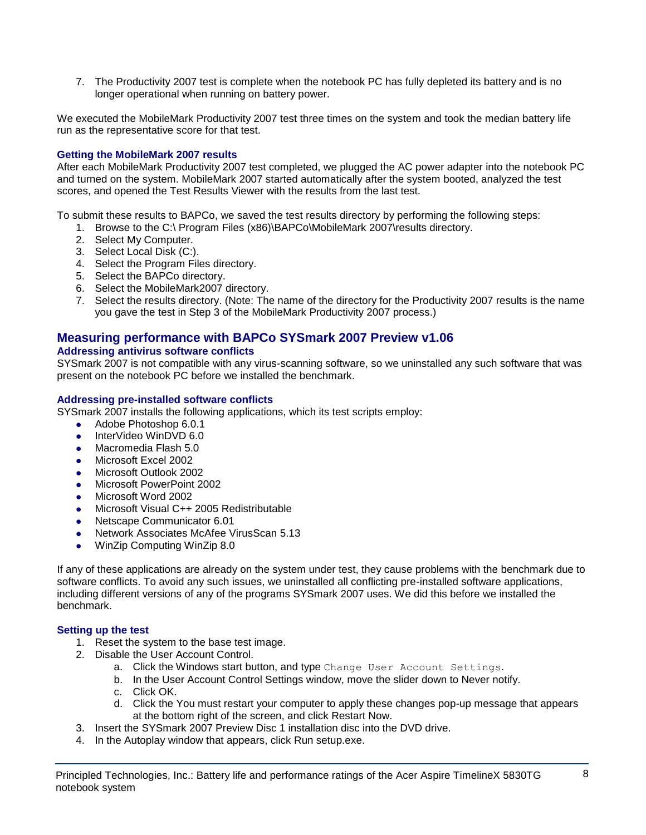7. The Productivity 2007 test is complete when the notebook PC has fully depleted its battery and is no longer operational when running on battery power.

We executed the MobileMark Productivity 2007 test three times on the system and took the median battery life run as the representative score for that test.

### **Getting the MobileMark 2007 results**

After each MobileMark Productivity 2007 test completed, we plugged the AC power adapter into the notebook PC and turned on the system. MobileMark 2007 started automatically after the system booted, analyzed the test scores, and opened the Test Results Viewer with the results from the last test.

To submit these results to BAPCo, we saved the test results directory by performing the following steps:

- 1. Browse to the C:\ Program Files (x86)\BAPCo\MobileMark 2007\results directory.
- 2. Select My Computer.
- 3. Select Local Disk (C:).
- 4. Select the Program Files directory.
- 5. Select the BAPCo directory.
- 6. Select the MobileMark2007 directory.
- 7. Select the results directory. (Note: The name of the directory for the Productivity 2007 results is the name you gave the test in Step 3 of the MobileMark Productivity 2007 process.)

## **Measuring performance with BAPCo SYSmark 2007 Preview v1.06**

#### **Addressing antivirus software conflicts**

SYSmark 2007 is not compatible with any virus-scanning software, so we uninstalled any such software that was present on the notebook PC before we installed the benchmark.

#### **Addressing pre-installed software conflicts**

SYSmark 2007 installs the following applications, which its test scripts employ:

- Adobe Photoshop 6.0.1
- InterVideo WinDVD 6.0
- Macromedia Flash 5.0
- Microsoft Excel 2002
- Microsoft Outlook 2002
- Microsoft PowerPoint 2002
- Microsoft Word 2002
- Microsoft Visual C++ 2005 Redistributable
- Netscape Communicator 6.01
- Network Associates McAfee VirusScan 5.13
- WinZip Computing WinZip 8.0

If any of these applications are already on the system under test, they cause problems with the benchmark due to software conflicts. To avoid any such issues, we uninstalled all conflicting pre-installed software applications, including different versions of any of the programs SYSmark 2007 uses. We did this before we installed the benchmark.

#### **Setting up the test**

- 1. Reset the system to the base test image.
- 2. Disable the User Account Control.
	- a. Click the Windows start button, and type Change User Account Settings.
	- b. In the User Account Control Settings window, move the slider down to Never notify.
	- c. Click OK.
	- d. Click the You must restart your computer to apply these changes pop-up message that appears at the bottom right of the screen, and click Restart Now.
- 3. Insert the SYSmark 2007 Preview Disc 1 installation disc into the DVD drive.
- 4. In the Autoplay window that appears, click Run setup.exe.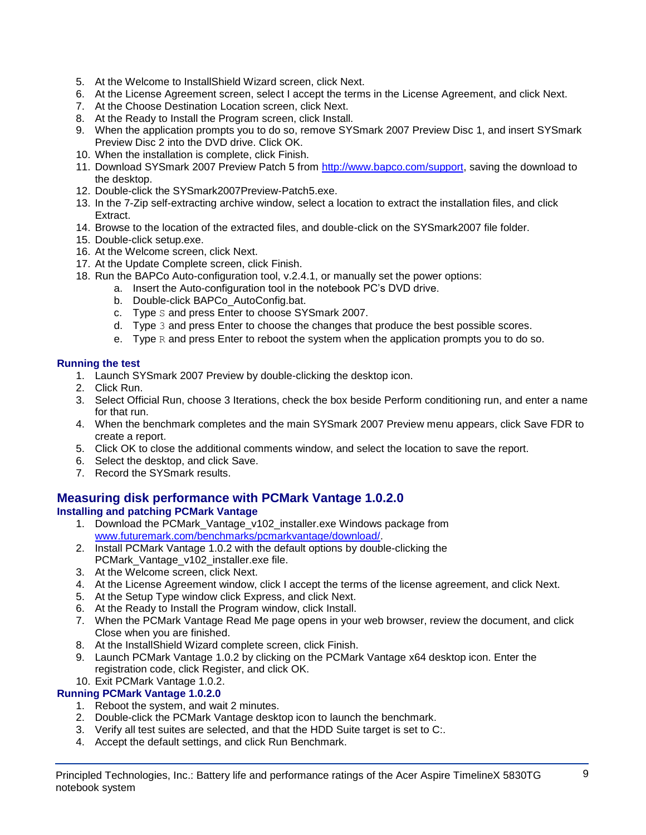- 5. At the Welcome to InstallShield Wizard screen, click Next.
- 6. At the License Agreement screen, select I accept the terms in the License Agreement, and click Next.
- 7. At the Choose Destination Location screen, click Next.
- 8. At the Ready to Install the Program screen, click Install.
- 9. When the application prompts you to do so, remove SYSmark 2007 Preview Disc 1, and insert SYSmark Preview Disc 2 into the DVD drive. Click OK.
- 10. When the installation is complete, click Finish.
- 11. Download SYSmark 2007 Preview Patch 5 from [http://www.bapco.com/support,](http://www.bapco.com/support) saving the download to the desktop.
- 12. Double-click the SYSmark2007Preview-Patch5.exe.
- 13. In the 7-Zip self-extracting archive window, select a location to extract the installation files, and click Extract.
- 14. Browse to the location of the extracted files, and double-click on the SYSmark2007 file folder.
- 15. Double-click setup.exe.
- 16. At the Welcome screen, click Next.
- 17. At the Update Complete screen, click Finish.
- 18. Run the BAPCo Auto-configuration tool, v.2.4.1, or manually set the power options:
	- a. Insert the Auto-configuration tool in the notebook PC's DVD drive.
		- b. Double-click BAPCo\_AutoConfig.bat.
		- c. Type S and press Enter to choose SYSmark 2007.
		- d. Type 3 and press Enter to choose the changes that produce the best possible scores.
		- e. Type  $R$  and press Enter to reboot the system when the application prompts you to do so.

### **Running the test**

- 1. Launch SYSmark 2007 Preview by double-clicking the desktop icon.
- 2. Click Run.
- 3. Select Official Run, choose 3 Iterations, check the box beside Perform conditioning run, and enter a name for that run.
- 4. When the benchmark completes and the main SYSmark 2007 Preview menu appears, click Save FDR to create a report.
- 5. Click OK to close the additional comments window, and select the location to save the report.
- 6. Select the desktop, and click Save.
- 7. Record the SYSmark results.

## **Measuring disk performance with PCMark Vantage 1.0.2.0**

## **Installing and patching PCMark Vantage**

- 1. Download the PCMark\_Vantage\_v102\_installer.exe Windows package from [www.futuremark.com/benchmarks/pcmarkvantage/download/.](http://www.futuremark.com/benchmarks/pcmarkvantage/download/)
- 2. Install PCMark Vantage 1.0.2 with the default options by double-clicking the PCMark\_Vantage\_v102\_installer.exe file.
- 3. At the Welcome screen, click Next.
- 4. At the License Agreement window, click I accept the terms of the license agreement, and click Next.
- 5. At the Setup Type window click Express, and click Next.
- 6. At the Ready to Install the Program window, click Install.
- 7. When the PCMark Vantage Read Me page opens in your web browser, review the document, and click Close when you are finished.
- 8. At the InstallShield Wizard complete screen, click Finish.
- 9. Launch PCMark Vantage 1.0.2 by clicking on the PCMark Vantage x64 desktop icon. Enter the registration code, click Register, and click OK.

## 10. Exit PCMark Vantage 1.0.2.

## **Running PCMark Vantage 1.0.2.0**

- 1. Reboot the system, and wait 2 minutes.
- 2. Double-click the PCMark Vantage desktop icon to launch the benchmark.
- 3. Verify all test suites are selected, and that the HDD Suite target is set to C:.
- 4. Accept the default settings, and click Run Benchmark.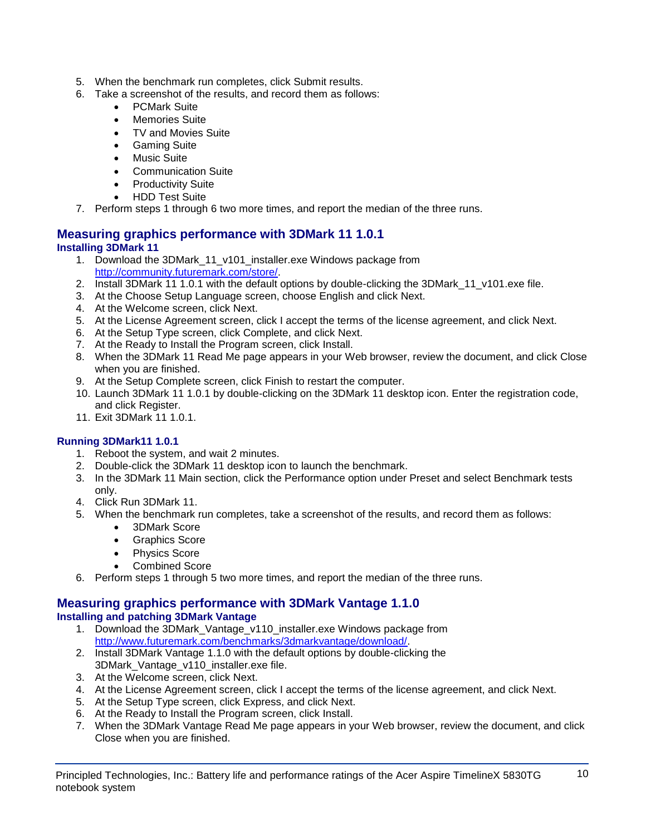- 5. When the benchmark run completes, click Submit results.
- 6. Take a screenshot of the results, and record them as follows:
	- PCMark Suite
	- Memories Suite
	- TV and Movies Suite
	- Gaming Suite
	- Music Suite
	- Communication Suite
	- Productivity Suite
	- HDD Test Suite
- 7. Perform steps 1 through 6 two more times, and report the median of the three runs.

## **Measuring graphics performance with 3DMark 11 1.0.1 Installing 3DMark 11**

- 1. Download the 3DMark\_11\_v101\_installer.exe Windows package from [http://community.futuremark.com/store/.](http://community.futuremark.com/store/)
- 2. Install 3DMark 11 1.0.1 with the default options by double-clicking the 3DMark 11 v101.exe file.
- 3. At the Choose Setup Language screen, choose English and click Next.
- 4. At the Welcome screen, click Next.
- 5. At the License Agreement screen, click I accept the terms of the license agreement, and click Next.
- 6. At the Setup Type screen, click Complete, and click Next.
- 7. At the Ready to Install the Program screen, click Install.
- 8. When the 3DMark 11 Read Me page appears in your Web browser, review the document, and click Close when you are finished.
- 9. At the Setup Complete screen, click Finish to restart the computer.
- 10. Launch 3DMark 11 1.0.1 by double-clicking on the 3DMark 11 desktop icon. Enter the registration code, and click Register.
- 11. Exit 3DMark 11 1.0.1.

## **Running 3DMark11 1.0.1**

- 1. Reboot the system, and wait 2 minutes.
- 2. Double-click the 3DMark 11 desktop icon to launch the benchmark.
- 3. In the 3DMark 11 Main section, click the Performance option under Preset and select Benchmark tests only.
- 4. Click Run 3DMark 11.
- 5. When the benchmark run completes, take a screenshot of the results, and record them as follows:
	- 3DMark Score
	- Graphics Score
	- Physics Score
	- Combined Score
- 6. Perform steps 1 through 5 two more times, and report the median of the three runs.

#### **Measuring graphics performance with 3DMark Vantage 1.1.0 Installing and patching 3DMark Vantage**

- 1. Download the 3DMark Vantage v110 installer.exe Windows package from [http://www.futuremark.com/benchmarks/3dmarkvantage/download/.](http://www.futuremark.com/benchmarks/3dmarkvantage/download/)
- 2. Install 3DMark Vantage 1.1.0 with the default options by double-clicking the 3DMark\_Vantage\_v110\_installer.exe file.
- 3. At the Welcome screen, click Next.
- 4. At the License Agreement screen, click I accept the terms of the license agreement, and click Next.
- 5. At the Setup Type screen, click Express, and click Next.
- 6. At the Ready to Install the Program screen, click Install.
- 7. When the 3DMark Vantage Read Me page appears in your Web browser, review the document, and click Close when you are finished.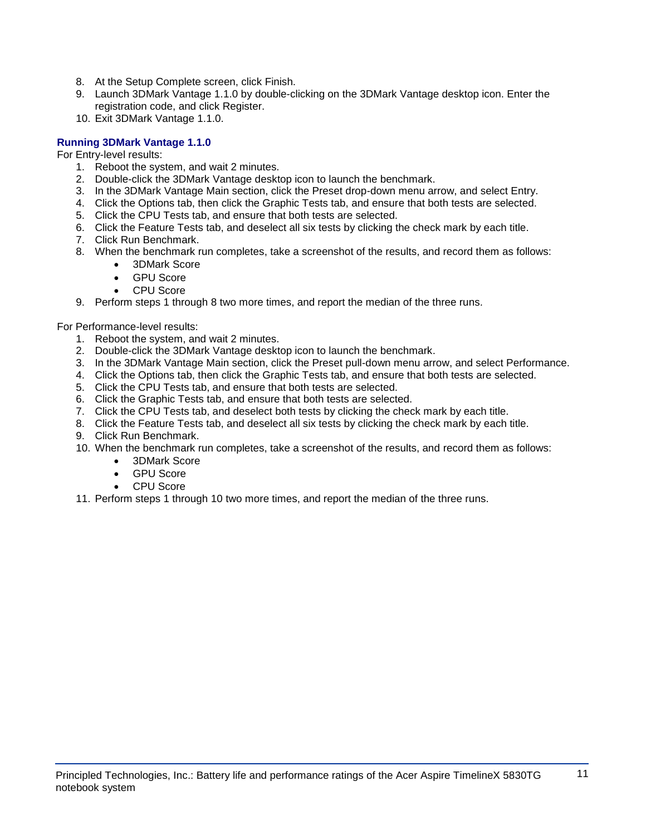- 8. At the Setup Complete screen, click Finish.
- 9. Launch 3DMark Vantage 1.1.0 by double-clicking on the 3DMark Vantage desktop icon. Enter the registration code, and click Register.
- 10. Exit 3DMark Vantage 1.1.0.

### **Running 3DMark Vantage 1.1.0**

For Entry-level results:

- 1. Reboot the system, and wait 2 minutes.
- 2. Double-click the 3DMark Vantage desktop icon to launch the benchmark.
- 3. In the 3DMark Vantage Main section, click the Preset drop-down menu arrow, and select Entry.
- 4. Click the Options tab, then click the Graphic Tests tab, and ensure that both tests are selected.
- 5. Click the CPU Tests tab, and ensure that both tests are selected.
- 6. Click the Feature Tests tab, and deselect all six tests by clicking the check mark by each title.
- 7. Click Run Benchmark.
- 8. When the benchmark run completes, take a screenshot of the results, and record them as follows:
	- 3DMark Score
	- GPU Score
	- CPU Score
- 9. Perform steps 1 through 8 two more times, and report the median of the three runs.

For Performance-level results:

- 1. Reboot the system, and wait 2 minutes.
- 2. Double-click the 3DMark Vantage desktop icon to launch the benchmark.
- 3. In the 3DMark Vantage Main section, click the Preset pull-down menu arrow, and select Performance.
- 4. Click the Options tab, then click the Graphic Tests tab, and ensure that both tests are selected.
- 5. Click the CPU Tests tab, and ensure that both tests are selected.
- 6. Click the Graphic Tests tab, and ensure that both tests are selected.
- 7. Click the CPU Tests tab, and deselect both tests by clicking the check mark by each title.
- 8. Click the Feature Tests tab, and deselect all six tests by clicking the check mark by each title.
- 9. Click Run Benchmark.
- 10. When the benchmark run completes, take a screenshot of the results, and record them as follows:
	- 3DMark Score
	- GPU Score
	- CPU Score
- 11. Perform steps 1 through 10 two more times, and report the median of the three runs.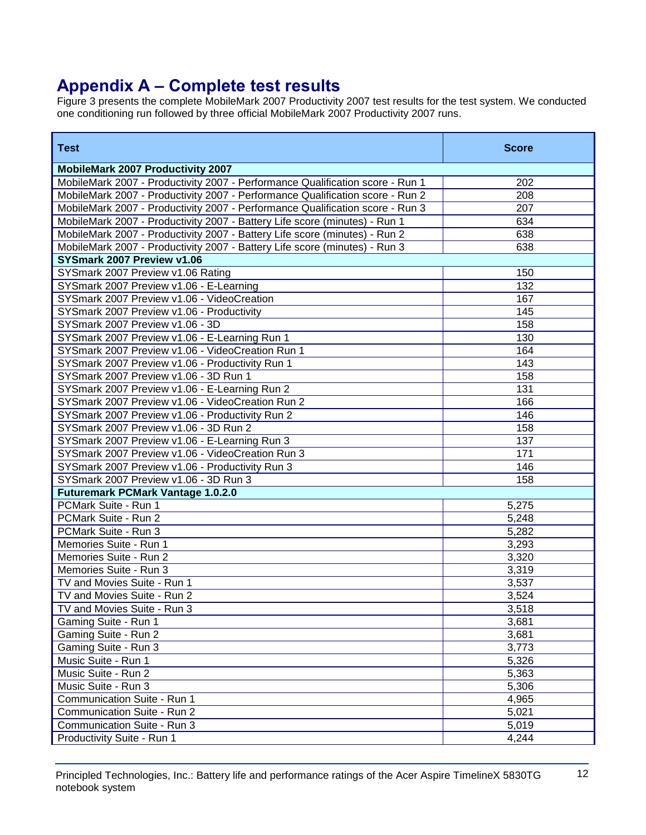# **Appendix A – Complete test results**

Figure 3 presents the complete MobileMark 2007 Productivity 2007 test results for the test system. We conducted one conditioning run followed by three official MobileMark 2007 Productivity 2007 runs.

| <b>Test</b>                                                                   | <b>Score</b> |
|-------------------------------------------------------------------------------|--------------|
| <b>MobileMark 2007 Productivity 2007</b>                                      |              |
| MobileMark 2007 - Productivity 2007 - Performance Qualification score - Run 1 | 202          |
| MobileMark 2007 - Productivity 2007 - Performance Qualification score - Run 2 | 208          |
| MobileMark 2007 - Productivity 2007 - Performance Qualification score - Run 3 | 207          |
| MobileMark 2007 - Productivity 2007 - Battery Life score (minutes) - Run 1    | 634          |
| MobileMark 2007 - Productivity 2007 - Battery Life score (minutes) - Run 2    | 638          |
| MobileMark 2007 - Productivity 2007 - Battery Life score (minutes) - Run 3    | 638          |
| SYSmark 2007 Preview v1.06                                                    |              |
| SYSmark 2007 Preview v1.06 Rating                                             | 150          |
| SYSmark 2007 Preview v1.06 - E-Learning                                       | 132          |
| SYSmark 2007 Preview v1.06 - VideoCreation                                    | 167          |
| SYSmark 2007 Preview v1.06 - Productivity                                     | 145          |
| SYSmark 2007 Preview v1.06 - 3D                                               | 158          |
| SYSmark 2007 Preview v1.06 - E-Learning Run 1                                 | 130          |
| SYSmark 2007 Preview v1.06 - VideoCreation Run 1                              | 164          |
| SYSmark 2007 Preview v1.06 - Productivity Run 1                               | 143          |
| SYSmark 2007 Preview v1.06 - 3D Run 1                                         | 158          |
| SYSmark 2007 Preview v1.06 - E-Learning Run 2                                 | 131          |
| SYSmark 2007 Preview v1.06 - VideoCreation Run 2                              | 166          |
| SYSmark 2007 Preview v1.06 - Productivity Run 2                               | 146          |
| SYSmark 2007 Preview v1.06 - 3D Run 2                                         | 158          |
| SYSmark 2007 Preview v1.06 - E-Learning Run 3                                 | 137          |
| SYSmark 2007 Preview v1.06 - VideoCreation Run 3                              | 171          |
| SYSmark 2007 Preview v1.06 - Productivity Run 3                               | 146          |
| SYSmark 2007 Preview v1.06 - 3D Run 3                                         | 158          |
| <b>Futuremark PCMark Vantage 1.0.2.0</b>                                      |              |
| PCMark Suite - Run 1                                                          | 5,275        |
| PCMark Suite - Run 2                                                          | 5,248        |
| PCMark Suite - Run 3                                                          | 5,282        |
| Memories Suite - Run 1                                                        | 3,293        |
| Memories Suite - Run 2                                                        | 3,320        |
| Memories Suite - Run 3                                                        | 3,319        |
| TV and Movies Suite - Run 1                                                   | 3,537        |
| TV and Movies Suite - Run 2                                                   | 3,524        |
| TV and Movies Suite - Run 3                                                   | 3,518        |
| Gaming Suite - Run 1                                                          | 3,681        |
| Gaming Suite - Run 2                                                          | 3,681        |
| Gaming Suite - Run 3                                                          | 3,773        |
| Music Suite - Run 1                                                           | 5,326        |
| Music Suite - Run 2                                                           | 5,363        |
| Music Suite - Run 3                                                           | 5,306        |
| Communication Suite - Run 1                                                   | 4,965        |
| Communication Suite - Run 2                                                   | 5,021        |
| Communication Suite - Run 3                                                   | 5,019        |
| Productivity Suite - Run 1                                                    | 4,244        |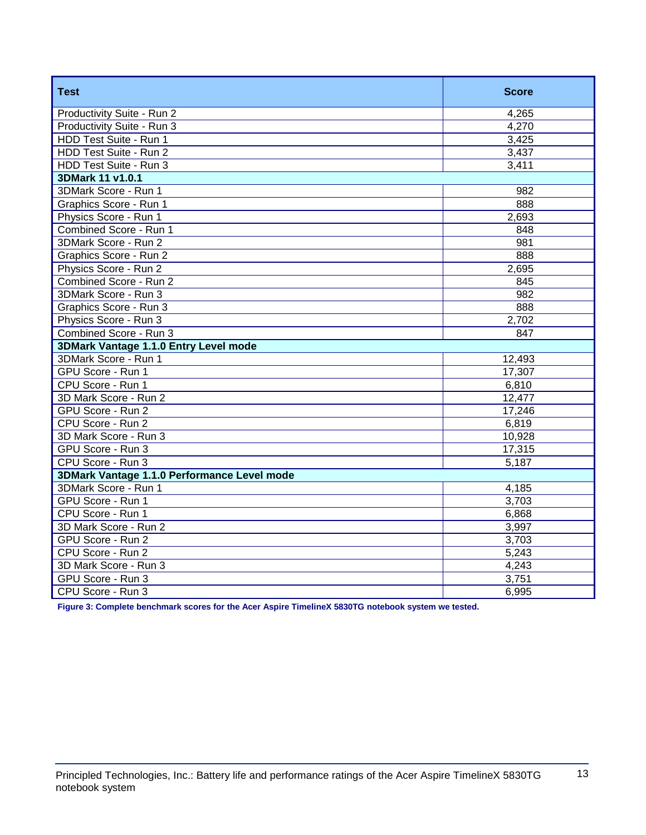| <b>Test</b>                                 | <b>Score</b> |
|---------------------------------------------|--------------|
| Productivity Suite - Run 2                  | 4,265        |
| Productivity Suite - Run 3                  | 4,270        |
| HDD Test Suite - Run 1                      | 3,425        |
| HDD Test Suite - Run 2                      | 3,437        |
| HDD Test Suite - Run 3                      | 3,411        |
| 3DMark 11 v1.0.1                            |              |
| 3DMark Score - Run 1                        | 982          |
| Graphics Score - Run 1                      | 888          |
| Physics Score - Run 1                       | 2,693        |
| Combined Score - Run 1                      | 848          |
| 3DMark Score - Run 2                        | 981          |
| Graphics Score - Run 2                      | 888          |
| Physics Score - Run 2                       | 2,695        |
| Combined Score - Run 2                      | 845          |
| 3DMark Score - Run 3                        | 982          |
| Graphics Score - Run 3                      | 888          |
| Physics Score - Run 3                       | 2,702        |
| Combined Score - Run 3                      | 847          |
| 3DMark Vantage 1.1.0 Entry Level mode       |              |
| 3DMark Score - Run 1                        | 12,493       |
| GPU Score - Run 1                           | 17,307       |
| CPU Score - Run 1                           | 6,810        |
| 3D Mark Score - Run 2                       | 12,477       |
| GPU Score - Run 2                           | 17,246       |
| CPU Score - Run 2                           | 6,819        |
| 3D Mark Score - Run 3                       | 10,928       |
| GPU Score - Run 3                           | 17,315       |
| CPU Score - Run 3                           | 5,187        |
| 3DMark Vantage 1.1.0 Performance Level mode |              |
| 3DMark Score - Run 1                        | 4,185        |
| GPU Score - Run 1                           | 3,703        |
| CPU Score - Run 1                           | 6,868        |
| 3D Mark Score - Run 2                       | 3,997        |
| GPU Score - Run 2                           | 3,703        |
| CPU Score - Run 2                           | 5,243        |
| 3D Mark Score - Run 3                       | 4,243        |
| GPU Score - Run 3                           | 3,751        |
| CPU Score - Run 3                           | 6,995        |

**Figure 3: Complete benchmark scores for the Acer Aspire TimelineX 5830TG notebook system we tested.**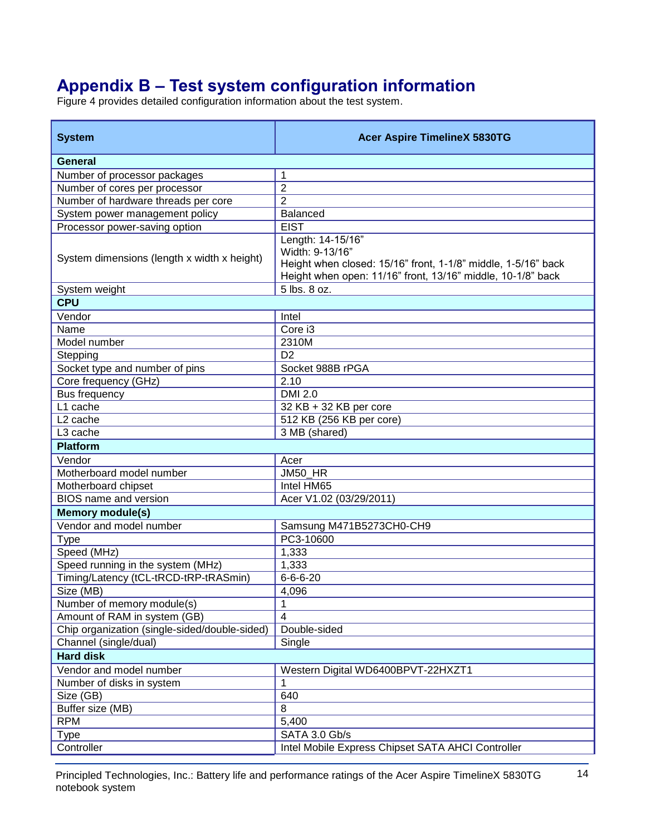# **Appendix B – Test system configuration information**

Figure 4 provides detailed configuration information about the test system.

| <b>System</b>                                 | <b>Acer Aspire TimelineX 5830TG</b>                                                                                                                                  |
|-----------------------------------------------|----------------------------------------------------------------------------------------------------------------------------------------------------------------------|
| <b>General</b>                                |                                                                                                                                                                      |
| Number of processor packages                  | 1                                                                                                                                                                    |
| Number of cores per processor                 | $\overline{2}$                                                                                                                                                       |
| Number of hardware threads per core           | $\overline{2}$                                                                                                                                                       |
| System power management policy                | <b>Balanced</b>                                                                                                                                                      |
| Processor power-saving option                 | <b>EIST</b>                                                                                                                                                          |
| System dimensions (length x width x height)   | Length: 14-15/16"<br>Width: 9-13/16"<br>Height when closed: 15/16" front, 1-1/8" middle, 1-5/16" back<br>Height when open: 11/16" front, 13/16" middle, 10-1/8" back |
| System weight                                 | 5 lbs. 8 oz.                                                                                                                                                         |
| <b>CPU</b>                                    |                                                                                                                                                                      |
| Vendor                                        | Intel                                                                                                                                                                |
| Name                                          | Core i3                                                                                                                                                              |
| Model number                                  | 2310M                                                                                                                                                                |
| Stepping                                      | D <sub>2</sub>                                                                                                                                                       |
| Socket type and number of pins                | Socket 988B rPGA                                                                                                                                                     |
| Core frequency (GHz)                          | 2.10                                                                                                                                                                 |
| Bus frequency                                 | <b>DMI 2.0</b>                                                                                                                                                       |
| L1 cache                                      | 32 KB + 32 KB per core                                                                                                                                               |
| L <sub>2</sub> cache                          | 512 KB (256 KB per core)                                                                                                                                             |
| L <sub>3</sub> cache                          | 3 MB (shared)                                                                                                                                                        |
| <b>Platform</b>                               |                                                                                                                                                                      |
| Vendor                                        | Acer                                                                                                                                                                 |
| Motherboard model number                      | JM50_HR                                                                                                                                                              |
| Motherboard chipset                           | Intel HM65                                                                                                                                                           |
| BIOS name and version                         | Acer V1.02 (03/29/2011)                                                                                                                                              |
| <b>Memory module(s)</b>                       |                                                                                                                                                                      |
| Vendor and model number                       | Samsung M471B5273CH0-CH9                                                                                                                                             |
| <b>Type</b>                                   | PC3-10600                                                                                                                                                            |
| Speed (MHz)                                   | 1,333                                                                                                                                                                |
| Speed running in the system (MHz)             | 1,333                                                                                                                                                                |
| Timing/Latency (tCL-tRCD-tRP-tRASmin)         | $6 - 6 - 6 - 20$                                                                                                                                                     |
| Size (MB)                                     | 4,096                                                                                                                                                                |
| Number of memory module(s)                    | 1                                                                                                                                                                    |
| Amount of RAM in system (GB)                  | $\overline{4}$                                                                                                                                                       |
| Chip organization (single-sided/double-sided) | Double-sided                                                                                                                                                         |
| Channel (single/dual)                         | Single                                                                                                                                                               |
| <b>Hard disk</b>                              |                                                                                                                                                                      |
| Vendor and model number                       | Western Digital WD6400BPVT-22HXZT1                                                                                                                                   |
| Number of disks in system                     |                                                                                                                                                                      |
| Size (GB)                                     | 640                                                                                                                                                                  |
| Buffer size (MB)                              | 8                                                                                                                                                                    |
| <b>RPM</b>                                    | 5,400                                                                                                                                                                |
| <b>Type</b>                                   | SATA 3.0 Gb/s                                                                                                                                                        |
| Controller                                    | Intel Mobile Express Chipset SATA AHCI Controller                                                                                                                    |

Principled Technologies, Inc.: Battery life and performance ratings of the Acer Aspire TimelineX 5830TG 14 notebook system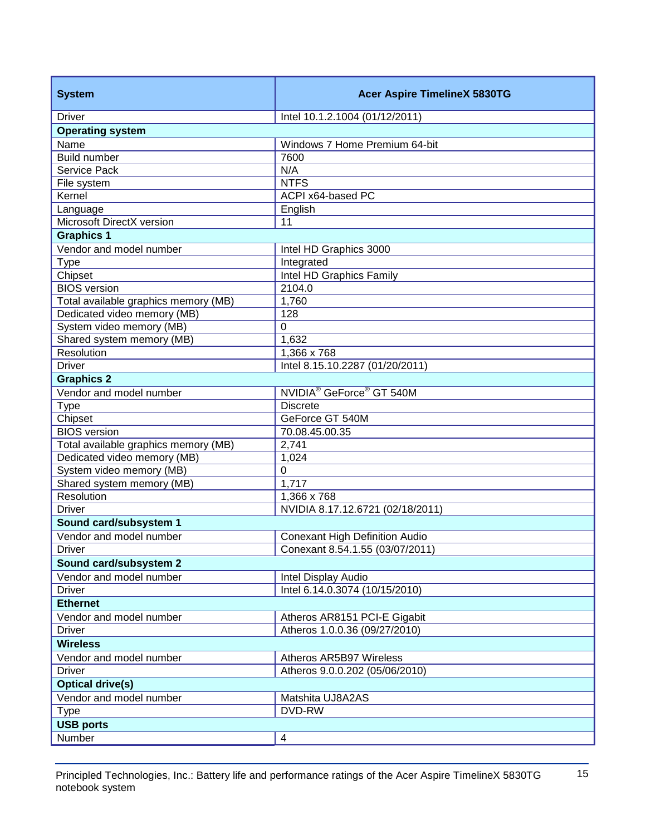| <b>Driver</b><br>Intel 10.1.2.1004 (01/12/2011)<br><b>Operating system</b><br>Name<br>Windows 7 Home Premium 64-bit<br>Build number<br>7600<br>N/A<br>Service Pack<br><b>NTFS</b><br>File system<br>Kernel<br>ACPI x64-based PC<br>English<br>Language<br>Microsoft DirectX version<br>11<br><b>Graphics 1</b><br>Vendor and model number<br>Intel HD Graphics 3000<br><b>Type</b><br>Integrated<br>Chipset<br>Intel HD Graphics Family<br><b>BIOS</b> version<br>2104.0<br>Total available graphics memory (MB)<br>1,760<br>Dedicated video memory (MB)<br>128<br>System video memory (MB)<br>0<br>Shared system memory (MB)<br>1,632<br>Resolution<br>$1,366 \times 768$<br><b>Driver</b><br>Intel 8.15.10.2287 (01/20/2011)<br><b>Graphics 2</b><br>NVIDIA <sup>®</sup> GeForce <sup>®</sup> GT 540M<br>Vendor and model number<br><b>Type</b><br><b>Discrete</b><br>Chipset<br>GeForce GT 540M<br><b>BIOS</b> version<br>70.08.45.00.35<br>2,741<br>Total available graphics memory (MB)<br>Dedicated video memory (MB)<br>1,024<br>System video memory (MB)<br>$\boldsymbol{0}$<br>Shared system memory (MB)<br>1,717<br>Resolution<br>1,366 x 768<br><b>Driver</b><br>NVIDIA 8.17.12.6721 (02/18/2011)<br>Sound card/subsystem 1<br>Vendor and model number<br><b>Conexant High Definition Audio</b><br>Conexant 8.54.1.55 (03/07/2011)<br><b>Driver</b><br>Sound card/subsystem 2<br>Vendor and model number<br>Intel Display Audio<br><b>Driver</b><br>Intel 6.14.0.3074 (10/15/2010)<br><b>Ethernet</b><br>Vendor and model number<br>Atheros AR8151 PCI-E Gigabit<br><b>Driver</b><br>Atheros 1.0.0.36 (09/27/2010)<br><b>Wireless</b><br>Vendor and model number<br>Atheros AR5B97 Wireless<br><b>Driver</b><br>Atheros 9.0.0.202 (05/06/2010)<br><b>Optical drive(s)</b><br>Vendor and model number<br>Matshita UJ8A2AS<br>DVD-RW<br><b>Type</b><br><b>USB ports</b><br>Number<br>4 | <b>System</b> | <b>Acer Aspire TimelineX 5830TG</b> |  |
|-------------------------------------------------------------------------------------------------------------------------------------------------------------------------------------------------------------------------------------------------------------------------------------------------------------------------------------------------------------------------------------------------------------------------------------------------------------------------------------------------------------------------------------------------------------------------------------------------------------------------------------------------------------------------------------------------------------------------------------------------------------------------------------------------------------------------------------------------------------------------------------------------------------------------------------------------------------------------------------------------------------------------------------------------------------------------------------------------------------------------------------------------------------------------------------------------------------------------------------------------------------------------------------------------------------------------------------------------------------------------------------------------------------------------------------------------------------------------------------------------------------------------------------------------------------------------------------------------------------------------------------------------------------------------------------------------------------------------------------------------------------------------------------------------------------------------------------------------------------------------------------------------|---------------|-------------------------------------|--|
|                                                                                                                                                                                                                                                                                                                                                                                                                                                                                                                                                                                                                                                                                                                                                                                                                                                                                                                                                                                                                                                                                                                                                                                                                                                                                                                                                                                                                                                                                                                                                                                                                                                                                                                                                                                                                                                                                                 |               |                                     |  |
|                                                                                                                                                                                                                                                                                                                                                                                                                                                                                                                                                                                                                                                                                                                                                                                                                                                                                                                                                                                                                                                                                                                                                                                                                                                                                                                                                                                                                                                                                                                                                                                                                                                                                                                                                                                                                                                                                                 |               |                                     |  |
|                                                                                                                                                                                                                                                                                                                                                                                                                                                                                                                                                                                                                                                                                                                                                                                                                                                                                                                                                                                                                                                                                                                                                                                                                                                                                                                                                                                                                                                                                                                                                                                                                                                                                                                                                                                                                                                                                                 |               |                                     |  |
|                                                                                                                                                                                                                                                                                                                                                                                                                                                                                                                                                                                                                                                                                                                                                                                                                                                                                                                                                                                                                                                                                                                                                                                                                                                                                                                                                                                                                                                                                                                                                                                                                                                                                                                                                                                                                                                                                                 |               |                                     |  |
|                                                                                                                                                                                                                                                                                                                                                                                                                                                                                                                                                                                                                                                                                                                                                                                                                                                                                                                                                                                                                                                                                                                                                                                                                                                                                                                                                                                                                                                                                                                                                                                                                                                                                                                                                                                                                                                                                                 |               |                                     |  |
|                                                                                                                                                                                                                                                                                                                                                                                                                                                                                                                                                                                                                                                                                                                                                                                                                                                                                                                                                                                                                                                                                                                                                                                                                                                                                                                                                                                                                                                                                                                                                                                                                                                                                                                                                                                                                                                                                                 |               |                                     |  |
|                                                                                                                                                                                                                                                                                                                                                                                                                                                                                                                                                                                                                                                                                                                                                                                                                                                                                                                                                                                                                                                                                                                                                                                                                                                                                                                                                                                                                                                                                                                                                                                                                                                                                                                                                                                                                                                                                                 |               |                                     |  |
|                                                                                                                                                                                                                                                                                                                                                                                                                                                                                                                                                                                                                                                                                                                                                                                                                                                                                                                                                                                                                                                                                                                                                                                                                                                                                                                                                                                                                                                                                                                                                                                                                                                                                                                                                                                                                                                                                                 |               |                                     |  |
|                                                                                                                                                                                                                                                                                                                                                                                                                                                                                                                                                                                                                                                                                                                                                                                                                                                                                                                                                                                                                                                                                                                                                                                                                                                                                                                                                                                                                                                                                                                                                                                                                                                                                                                                                                                                                                                                                                 |               |                                     |  |
|                                                                                                                                                                                                                                                                                                                                                                                                                                                                                                                                                                                                                                                                                                                                                                                                                                                                                                                                                                                                                                                                                                                                                                                                                                                                                                                                                                                                                                                                                                                                                                                                                                                                                                                                                                                                                                                                                                 |               |                                     |  |
|                                                                                                                                                                                                                                                                                                                                                                                                                                                                                                                                                                                                                                                                                                                                                                                                                                                                                                                                                                                                                                                                                                                                                                                                                                                                                                                                                                                                                                                                                                                                                                                                                                                                                                                                                                                                                                                                                                 |               |                                     |  |
|                                                                                                                                                                                                                                                                                                                                                                                                                                                                                                                                                                                                                                                                                                                                                                                                                                                                                                                                                                                                                                                                                                                                                                                                                                                                                                                                                                                                                                                                                                                                                                                                                                                                                                                                                                                                                                                                                                 |               |                                     |  |
|                                                                                                                                                                                                                                                                                                                                                                                                                                                                                                                                                                                                                                                                                                                                                                                                                                                                                                                                                                                                                                                                                                                                                                                                                                                                                                                                                                                                                                                                                                                                                                                                                                                                                                                                                                                                                                                                                                 |               |                                     |  |
|                                                                                                                                                                                                                                                                                                                                                                                                                                                                                                                                                                                                                                                                                                                                                                                                                                                                                                                                                                                                                                                                                                                                                                                                                                                                                                                                                                                                                                                                                                                                                                                                                                                                                                                                                                                                                                                                                                 |               |                                     |  |
|                                                                                                                                                                                                                                                                                                                                                                                                                                                                                                                                                                                                                                                                                                                                                                                                                                                                                                                                                                                                                                                                                                                                                                                                                                                                                                                                                                                                                                                                                                                                                                                                                                                                                                                                                                                                                                                                                                 |               |                                     |  |
|                                                                                                                                                                                                                                                                                                                                                                                                                                                                                                                                                                                                                                                                                                                                                                                                                                                                                                                                                                                                                                                                                                                                                                                                                                                                                                                                                                                                                                                                                                                                                                                                                                                                                                                                                                                                                                                                                                 |               |                                     |  |
|                                                                                                                                                                                                                                                                                                                                                                                                                                                                                                                                                                                                                                                                                                                                                                                                                                                                                                                                                                                                                                                                                                                                                                                                                                                                                                                                                                                                                                                                                                                                                                                                                                                                                                                                                                                                                                                                                                 |               |                                     |  |
|                                                                                                                                                                                                                                                                                                                                                                                                                                                                                                                                                                                                                                                                                                                                                                                                                                                                                                                                                                                                                                                                                                                                                                                                                                                                                                                                                                                                                                                                                                                                                                                                                                                                                                                                                                                                                                                                                                 |               |                                     |  |
|                                                                                                                                                                                                                                                                                                                                                                                                                                                                                                                                                                                                                                                                                                                                                                                                                                                                                                                                                                                                                                                                                                                                                                                                                                                                                                                                                                                                                                                                                                                                                                                                                                                                                                                                                                                                                                                                                                 |               |                                     |  |
|                                                                                                                                                                                                                                                                                                                                                                                                                                                                                                                                                                                                                                                                                                                                                                                                                                                                                                                                                                                                                                                                                                                                                                                                                                                                                                                                                                                                                                                                                                                                                                                                                                                                                                                                                                                                                                                                                                 |               |                                     |  |
|                                                                                                                                                                                                                                                                                                                                                                                                                                                                                                                                                                                                                                                                                                                                                                                                                                                                                                                                                                                                                                                                                                                                                                                                                                                                                                                                                                                                                                                                                                                                                                                                                                                                                                                                                                                                                                                                                                 |               |                                     |  |
|                                                                                                                                                                                                                                                                                                                                                                                                                                                                                                                                                                                                                                                                                                                                                                                                                                                                                                                                                                                                                                                                                                                                                                                                                                                                                                                                                                                                                                                                                                                                                                                                                                                                                                                                                                                                                                                                                                 |               |                                     |  |
|                                                                                                                                                                                                                                                                                                                                                                                                                                                                                                                                                                                                                                                                                                                                                                                                                                                                                                                                                                                                                                                                                                                                                                                                                                                                                                                                                                                                                                                                                                                                                                                                                                                                                                                                                                                                                                                                                                 |               |                                     |  |
|                                                                                                                                                                                                                                                                                                                                                                                                                                                                                                                                                                                                                                                                                                                                                                                                                                                                                                                                                                                                                                                                                                                                                                                                                                                                                                                                                                                                                                                                                                                                                                                                                                                                                                                                                                                                                                                                                                 |               |                                     |  |
|                                                                                                                                                                                                                                                                                                                                                                                                                                                                                                                                                                                                                                                                                                                                                                                                                                                                                                                                                                                                                                                                                                                                                                                                                                                                                                                                                                                                                                                                                                                                                                                                                                                                                                                                                                                                                                                                                                 |               |                                     |  |
|                                                                                                                                                                                                                                                                                                                                                                                                                                                                                                                                                                                                                                                                                                                                                                                                                                                                                                                                                                                                                                                                                                                                                                                                                                                                                                                                                                                                                                                                                                                                                                                                                                                                                                                                                                                                                                                                                                 |               |                                     |  |
|                                                                                                                                                                                                                                                                                                                                                                                                                                                                                                                                                                                                                                                                                                                                                                                                                                                                                                                                                                                                                                                                                                                                                                                                                                                                                                                                                                                                                                                                                                                                                                                                                                                                                                                                                                                                                                                                                                 |               |                                     |  |
|                                                                                                                                                                                                                                                                                                                                                                                                                                                                                                                                                                                                                                                                                                                                                                                                                                                                                                                                                                                                                                                                                                                                                                                                                                                                                                                                                                                                                                                                                                                                                                                                                                                                                                                                                                                                                                                                                                 |               |                                     |  |
|                                                                                                                                                                                                                                                                                                                                                                                                                                                                                                                                                                                                                                                                                                                                                                                                                                                                                                                                                                                                                                                                                                                                                                                                                                                                                                                                                                                                                                                                                                                                                                                                                                                                                                                                                                                                                                                                                                 |               |                                     |  |
|                                                                                                                                                                                                                                                                                                                                                                                                                                                                                                                                                                                                                                                                                                                                                                                                                                                                                                                                                                                                                                                                                                                                                                                                                                                                                                                                                                                                                                                                                                                                                                                                                                                                                                                                                                                                                                                                                                 |               |                                     |  |
|                                                                                                                                                                                                                                                                                                                                                                                                                                                                                                                                                                                                                                                                                                                                                                                                                                                                                                                                                                                                                                                                                                                                                                                                                                                                                                                                                                                                                                                                                                                                                                                                                                                                                                                                                                                                                                                                                                 |               |                                     |  |
|                                                                                                                                                                                                                                                                                                                                                                                                                                                                                                                                                                                                                                                                                                                                                                                                                                                                                                                                                                                                                                                                                                                                                                                                                                                                                                                                                                                                                                                                                                                                                                                                                                                                                                                                                                                                                                                                                                 |               |                                     |  |
|                                                                                                                                                                                                                                                                                                                                                                                                                                                                                                                                                                                                                                                                                                                                                                                                                                                                                                                                                                                                                                                                                                                                                                                                                                                                                                                                                                                                                                                                                                                                                                                                                                                                                                                                                                                                                                                                                                 |               |                                     |  |
|                                                                                                                                                                                                                                                                                                                                                                                                                                                                                                                                                                                                                                                                                                                                                                                                                                                                                                                                                                                                                                                                                                                                                                                                                                                                                                                                                                                                                                                                                                                                                                                                                                                                                                                                                                                                                                                                                                 |               |                                     |  |
|                                                                                                                                                                                                                                                                                                                                                                                                                                                                                                                                                                                                                                                                                                                                                                                                                                                                                                                                                                                                                                                                                                                                                                                                                                                                                                                                                                                                                                                                                                                                                                                                                                                                                                                                                                                                                                                                                                 |               |                                     |  |
|                                                                                                                                                                                                                                                                                                                                                                                                                                                                                                                                                                                                                                                                                                                                                                                                                                                                                                                                                                                                                                                                                                                                                                                                                                                                                                                                                                                                                                                                                                                                                                                                                                                                                                                                                                                                                                                                                                 |               |                                     |  |
|                                                                                                                                                                                                                                                                                                                                                                                                                                                                                                                                                                                                                                                                                                                                                                                                                                                                                                                                                                                                                                                                                                                                                                                                                                                                                                                                                                                                                                                                                                                                                                                                                                                                                                                                                                                                                                                                                                 |               |                                     |  |
|                                                                                                                                                                                                                                                                                                                                                                                                                                                                                                                                                                                                                                                                                                                                                                                                                                                                                                                                                                                                                                                                                                                                                                                                                                                                                                                                                                                                                                                                                                                                                                                                                                                                                                                                                                                                                                                                                                 |               |                                     |  |
|                                                                                                                                                                                                                                                                                                                                                                                                                                                                                                                                                                                                                                                                                                                                                                                                                                                                                                                                                                                                                                                                                                                                                                                                                                                                                                                                                                                                                                                                                                                                                                                                                                                                                                                                                                                                                                                                                                 |               |                                     |  |
|                                                                                                                                                                                                                                                                                                                                                                                                                                                                                                                                                                                                                                                                                                                                                                                                                                                                                                                                                                                                                                                                                                                                                                                                                                                                                                                                                                                                                                                                                                                                                                                                                                                                                                                                                                                                                                                                                                 |               |                                     |  |
|                                                                                                                                                                                                                                                                                                                                                                                                                                                                                                                                                                                                                                                                                                                                                                                                                                                                                                                                                                                                                                                                                                                                                                                                                                                                                                                                                                                                                                                                                                                                                                                                                                                                                                                                                                                                                                                                                                 |               |                                     |  |
|                                                                                                                                                                                                                                                                                                                                                                                                                                                                                                                                                                                                                                                                                                                                                                                                                                                                                                                                                                                                                                                                                                                                                                                                                                                                                                                                                                                                                                                                                                                                                                                                                                                                                                                                                                                                                                                                                                 |               |                                     |  |
|                                                                                                                                                                                                                                                                                                                                                                                                                                                                                                                                                                                                                                                                                                                                                                                                                                                                                                                                                                                                                                                                                                                                                                                                                                                                                                                                                                                                                                                                                                                                                                                                                                                                                                                                                                                                                                                                                                 |               |                                     |  |
|                                                                                                                                                                                                                                                                                                                                                                                                                                                                                                                                                                                                                                                                                                                                                                                                                                                                                                                                                                                                                                                                                                                                                                                                                                                                                                                                                                                                                                                                                                                                                                                                                                                                                                                                                                                                                                                                                                 |               |                                     |  |
|                                                                                                                                                                                                                                                                                                                                                                                                                                                                                                                                                                                                                                                                                                                                                                                                                                                                                                                                                                                                                                                                                                                                                                                                                                                                                                                                                                                                                                                                                                                                                                                                                                                                                                                                                                                                                                                                                                 |               |                                     |  |
|                                                                                                                                                                                                                                                                                                                                                                                                                                                                                                                                                                                                                                                                                                                                                                                                                                                                                                                                                                                                                                                                                                                                                                                                                                                                                                                                                                                                                                                                                                                                                                                                                                                                                                                                                                                                                                                                                                 |               |                                     |  |
|                                                                                                                                                                                                                                                                                                                                                                                                                                                                                                                                                                                                                                                                                                                                                                                                                                                                                                                                                                                                                                                                                                                                                                                                                                                                                                                                                                                                                                                                                                                                                                                                                                                                                                                                                                                                                                                                                                 |               |                                     |  |
|                                                                                                                                                                                                                                                                                                                                                                                                                                                                                                                                                                                                                                                                                                                                                                                                                                                                                                                                                                                                                                                                                                                                                                                                                                                                                                                                                                                                                                                                                                                                                                                                                                                                                                                                                                                                                                                                                                 |               |                                     |  |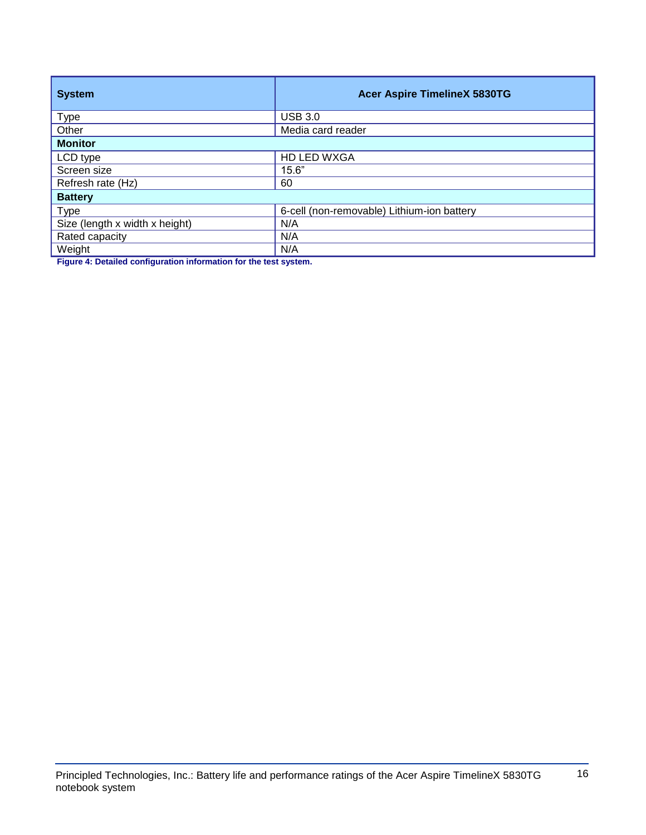| <b>System</b>                  | <b>Acer Aspire TimelineX 5830TG</b>        |
|--------------------------------|--------------------------------------------|
| <b>Type</b>                    | <b>USB 3.0</b>                             |
| Other                          | Media card reader                          |
| <b>Monitor</b>                 |                                            |
| LCD type                       | HD LED WXGA                                |
| Screen size                    | 15.6"                                      |
| Refresh rate (Hz)              | 60                                         |
| <b>Battery</b>                 |                                            |
| <b>Type</b>                    | 6-cell (non-removable) Lithium-ion battery |
| Size (length x width x height) | N/A                                        |
| Rated capacity                 | N/A                                        |
| Weight                         | N/A                                        |

**Figure 4: Detailed configuration information for the test system.**